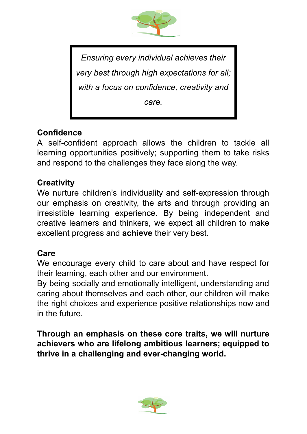

*Ensuring every individual achieves their very best through high expectations for all; with a focus on confidence, creativity and care.*

# **Confidence**

A self-confident approach allows the children to tackle all learning opportunities positively; supporting them to take risks and respond to the challenges they face along the way.

## **Creativity**

We nurture children's individuality and self-expression through our emphasis on creativity, the arts and through providing an irresistible learning experience. By being independent and creative learners and thinkers, we expect all children to make excellent progress and **achieve** their very best.

## **Care**

We encourage every child to care about and have respect for their learning, each other and our environment.

By being socially and emotionally intelligent, understanding and caring about themselves and each other, our children will make the right choices and experience positive relationships now and in the future.

**Through an emphasis on these core traits, we will nurture achievers who are lifelong ambitious learners; equipped to thrive in a challenging and ever-changing world.**